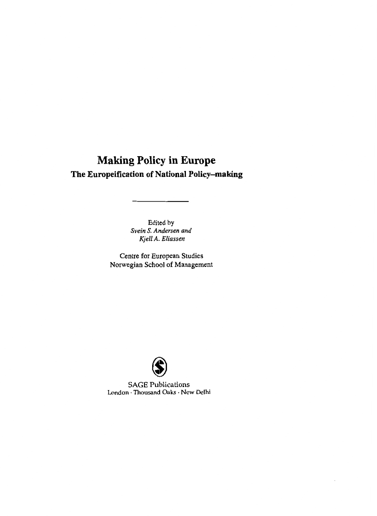# **Making Policy in Europe The Europeification of National Policy-making**

**Edited by**  *Svein* **S.** *Andersen and Kjell* **A.** *Eliassen* 

Centre **for European Studies Norwegian School of** Management



**SAGE Publications London. Thousand Oaks** . **New** Delhi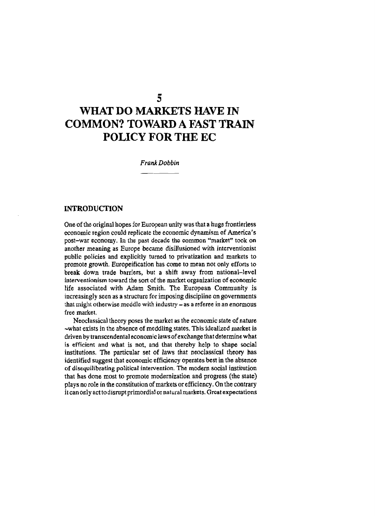# **5 WHAT DO MARKETS HAVE IN COMMON? TOWARD A FAST TRAlN POLICY FOR THE EC**

*Frank Dobbin* 

### **INTRODUCTION**

One **of** the **original hopes** for **European unity was that a huge frontierless economic region collld replicate** *the* economic **dynamism of America's post-war** economy, In **the past dccade thc** common **"market" took on another meaning as** Europe **became disiUusioned with interventionist public policies and explicitly turned to privatization and markets** to promote **growth. Europeification has come to mean** not **only efforts to break down trade barriers, but a shift away** from **national-level interventionism toward the sort** of **the market organization** of **economic life associated with Adam Smith. The European Community is increasingly seen as a** structure **for** imposing **discipline on governments that** might otherwise mcddle **with industry -as a** referee **in an** *enormous*  **free market.** 

**Neoclassical** theory **poses the market as the** *economic* **state** of **nature -what exists** in the **absence of meddling states. This idealized market is driven by transcendent a1 economic** *laws* of **exchange** that determine **what is efficient and what is not, and that thereby** help **to shape social institutions. The particular set of laws that neoclassical theory has identified suggest that economic** effidency **operates best** in the **absena of disequilibrating political intervention. The modern social institution that has done most to** promote modernization **and progress (the state) plays no role in the constitution** of **markets** or **efficiency. On** the **contrary it canonly act to disrupt primordial** or **naturalmarkets. Grcat expectations**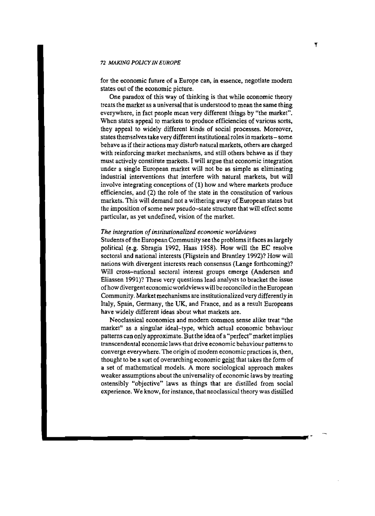for the economic future **of a Europe** can, in **essence,** negotiate modem states out **of** the economic picture.

One paradox of this **way of thinking is that while economic** theory treats the market as a universal **that is** understood to **mean** the same **thing everywhere, in fact people mean very** different things by "the market". When states **appeal** to markets to **produce** efficiencies of various sorts, they appeal to widely different **kinds** of social **processes.** Moreover, states **themselves takevery** different institutional roles in markets- **some behave as if their actions may disturb natural** markets, **others** are charged **with reinforcing market** mechanisms, and still others behave as if they must actively constitute markets. I will **argue** that economic integration **under** a single European market will not be as simple as eliminating industrial interventions **that interfere with natural** markets, but will involve integrating conceptions of **(1)** how and where markets produce efficiencies, and (2) the role of the **state** in the constitution of various markets. This will demand not a withering away of European **states** but the imposition of some new pseudo-state structure that will effect some particular, as yet undefined, **vision** of the **market.** 

#### *The integration* **of** *institutionalized* **economic** *worldviews*

**Students** of the European Community see the problems it faces as largely political **(e.g. Sbragia** 1992, **Haas 1958). How** will the EC resolve sectoral and national **interests (Fligstein and Brantley 1992)? How will**  nations with divergent interests reach consensus (Lange forthcoming)? Will cross-national sectoral interest groups emerge (Andersen and **Eliassen 1991)? These very** questions lead analysts to bracket the issue of how divergent economic worldviews will be reconciled in theEuropean Community, Market mechanisms are institutionalized **very** differently in **Italy,** Spain, **Germany, the UK,** and France, and as a result Europeans have widely different ideas about **what** markets are.

**Neoclassical economics and modern** common **sense alike** treat "the market" as a singular ideal-type, which actual economic behaviour patterns can only approximate. But the idea of a "perfect" market implies transcendental economic laws that drive economic behaviour patterns to converge everywhere, The origin of modern economic practices is, then, thought to be a sort of overarching economic *geist* that takes the form of a set of mathematical models. A more sociological approach makes weaker assumptions about the universality of economic **laws** by treating ostensibly "objective" laws as things that are distilled from social experience. We know, for instance, that neoclassical theory was distilled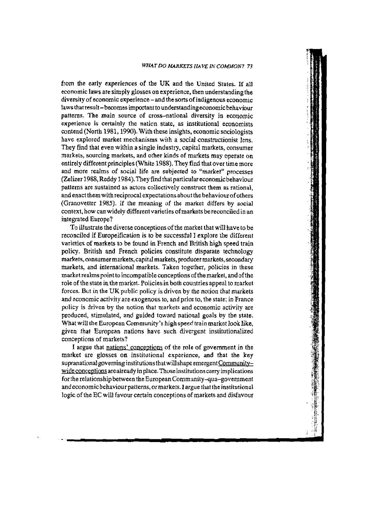from **the early** *experiences* **of the UK and** the **United Srates. If all**  economic **laws are simply glosses on experience, then understanding the diversity of economic experience** - **and the sorts of indigenous economic**  laws that result-becomes important to understanding economic behaviour *patterns. Tba* **main source of** cross-national **diversity in economic experience is certainly the nation state, as institutional** economists contend **(North 1981,1990). With these insights, economic sociologists**  have explored market mechanisms with a social constructionist lens. **They find fhaf even** within **a** single **industry, capital markets,** consumer markets, sourcing **markets, and** other **kinds of markets may operate on entirely different principles (White 1988). They** find **that over lime more and more realms** of **social life are** *subjected* **to** *"market" processes*  (Zelizer **1988, Reddy** 1984). They **find that particular econornicbehaviour patterns are sustained as actors collectively construct them as rational, and enact them with reciprocal expectations about the behaviour of olhers**  (Granovctter 1985). **If the meaning** of *the market* **differs by social context, how can widely different varieties of markets be reconciled in an integrated Europe?** 

**To illustrate the diverse conceptions** of the **market that will have to be reconciled if Europeification is** to **be successful** I **explore ihe different varieties of markets to be found in** French **and** British **high speed** train **policy. British and French policies constitute disparate technology markets, mnsurner markets, capital markets, producer markets, secondary markets, and international markets, Taken** together, **policies in these market realms point to incompatible conceptions of the market, and** of the **role of** the **state in the** market. **Policies in both countries appeal to market forces. But** in **the UK public policy is** driven **by** the notion that **markets**  and economic activity are exogenous to, and prior to, the state; in France policy **is driven by the** notion **that markets and economic activity are produced, stimulated, and guided toward national goals by the state, What** wiU **the** European **Community's high speed train market** *look* **like,**  *given* **that European** nations **have such divergent institutionalized**  conceptions of **markets?** 

I argue that nations' conceptions of the role of government in the **market are glosses on institutional expcricnce, and that** the **key**  supranational governing institutions that will shape emergent Community**wide conceptions are already in place. Thoseinstitutions** carry implications **for** the relationship **between** the European Community-qua-government andeconomic behaviour patterns, or markets. I argue that the institutional **logic** of the **EC will favour certain conceptions of markets and disfavour**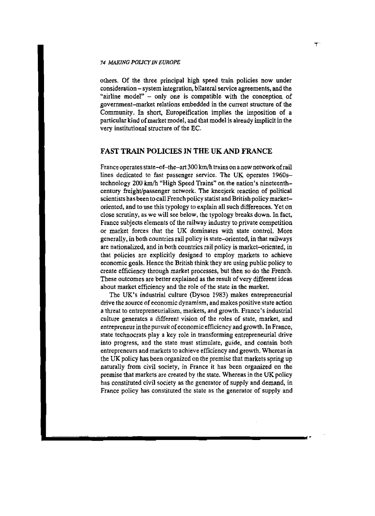others. Of the three principal high speed train policies **now** under **consideration** - system integration, **bilateral service** agreements, **and the**  "airline model" - only one is compatible with the conception of government-market **relations** embedded in **the** current structure of the Community. In short, Europeification implies the imposition of a particular kind of market model, and that model is already implicit in the very institutional **structure of** the **EC.** 

# **FAST TRAIN POLICIES IN THE UK AND FRANCE**

France operates state-of-the-art 300 **kmlh** trains **on a new** networkof rail lines dedicated to fast passenger service. The UK **operates 1960s**technology **200 km/h** "High Speed Trains" on the **nation's** nineteenthcentury freight/passenger network. The kneejerk reaction of political scientists has **been** to call French policy statist and British policy **marketoriented, and to** use this **typology** to explain all **such** differences. Yet on close scrutiny, as **we** will see below, the typology breaks down. In fact, France subjects elements of the railway industry to private competition or market forces that the UK dominates with state control. More generally, in both countries rail policy is state-oriented, in that railways **are nationaIized,** and in both countries rail policy is market-oriented, in that policies are explicitly **designed** to employ markets to achieve economic goals. Hence the British think they are **using public** policy to create efficiency through market processes, but then so do the French, These outcomes are better explained as the result of very different ideas about market efficiency and the role of the **state in the market.** 

**The UK's industrial** culture **@yson 1983) makes** entrepreneurial drive the source **of** economic **dynamism,** and makes positive state action a threat to entrepreneurialism, markets, **and** growth. France's industrial culture generates a **different** vision **of** the roles of state, **market, and entrepreneur in** the pursuit of economic efficiency and **growth.** In **France, state** technocrats play a **key** role in transforming entrepreneurial drive into progress, and the state must stimulate, guide, and contain both entrepreneurs and markets to **achieve** efficiency **and growth. Whereas in**  the **UK policy** has **been organized** on **the** premise that markets spring up naturally **from** civil society, in France it has been organized **on** the premise that **markets** are created **by** the state. Whereas in the **UK policy has** constituted **civil society as the** generator **of supply and** demand, in France policy has constituted the state as the generator **of** supply **and**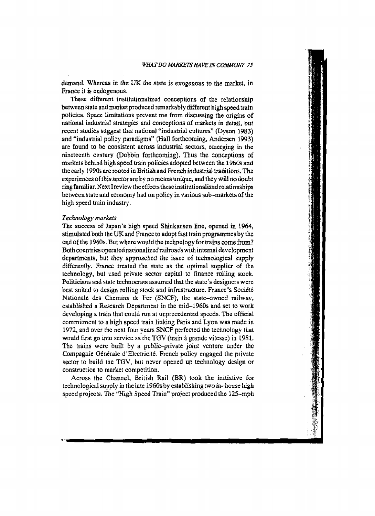**demand. Whereas** in **the UK** *the* **state is exogenous to the** market, **in France** it **is endogenous.** 

**These** different **institutionalized conceptions of the relationship between state and market produced remarkably** different **high speed** train **policies. Space limitations prevent me from discussing the origins of national industrid strategies and conceptions of markets in** *detail, but*  recent studies suggest that national "industrial cultures" (Dyson 1983) and "industrial policy paradigms" (Hall forthcoming, Andersen 1993) **are found** to **be** consistent **across industrial sectors, emerging** in **the**  nineteenth **century (Dobbin** forthcoming). Thus the **conceptions** of markets behind **high speed** train **policies adopred** between **the 1%0s and the early 1990s arc rooted in British and French industrial traditions.** The *experiences* **of this** sector are **by no** means **unique, and** they **wiH no** doubt **ring familiar.** Next Ireview the effects these institutionalized relationships **between state and economy** had **on pol** icy **in various submarkets of the**  high **speed** train **industry.** 

#### *Technulog), markets*

The **succcss** of **Japan's** high **speed Shinkanserr** line, **opened in 1964, stimulated** both **the UK and** France to **adopt** fast **train programmesby** the **end of the 1960s.** But **where would the** technology **for trains** come from? Both **countries operated** nationalizedrailmads **with internal development departments, but they approached** *the issue* **of technological supply**  differently, France **treated the** state **as the oprimal supplier** of **the technology, but used private sector capital to finance rolling stock. Politicians and state technocrats assumed that the state's designers were best suited to design** rolling **stock and infizstructure. France's Socitte**  Nationale des Chemins dc Fer (SNCF), the state-owned railway, **established a Research** Department **in** the **mid-1960s and set to work developing a train** that **could run at unprecedented spccds. The official**  commitment **to a high speed** train **linking Paris and Lyon was made in 1972, and over the next** four **years SNCF perfected the technology that would** first **go into service as** the **TGV (train** i **grande vitesse) in** 1981. **The trains were** built **by a public-private joint venture under the Compagnie Ginhale d'Electricit6.** French **policy engaged the private sector** to **build** the TGV, **but** never opened **up technology design or constmction to market competition,** 

**Across the** Channel, **British Rail (BR) took the initiative for**  technological **supply** in **the late 1960s by establishing** two **in-house high speed projects.** *The* "High Speed Train" **projet1** produced **the 125-mph**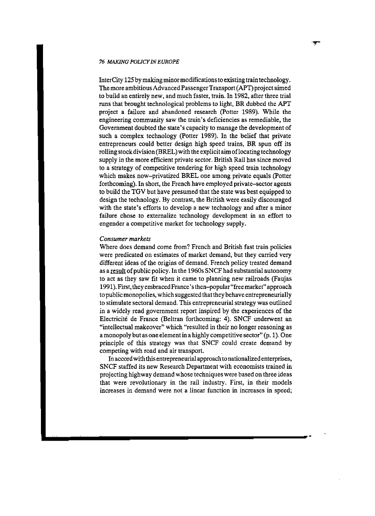Intercity 125 by **making** minor modifications to existing train technology. The more ambitious Advanced **PassengerTransport** (APT) project aimed to build an entirely new, and much faster, train. In 1982, **after** three trial **runs** that brought technological problems to light, BR dubbed the APT project a failure and abandoned research (Potter 1989). While the engineering community saw **the** train's deficiencies **as** remediable, the Government doubted the state's capacity to manage the development of such a complex technology (Potter 1989). In the belief that private entrepreneurs could better design high speed trains, BR spun **off** its rolling stockdivision (BREL) with the explicit aim of locating **technology**  supply in the more efficient private **sector.** British Rail has since moved to a strategy of competitive tendering for high speed train technology which **makes** now-privatized BREL one among private **equals** (Potter forthcoming). **In** short, the French have employed private-sector agents to build **the** TGV but have presumed that the state was best **equipped** to **design** the technology. By contrast, the British were **easily** discouraged with the state's efforts to develop a new technology and after a minor failure chose to externalize **technology** development in an effort to engender a competitive market for technology supply.

#### *Consumer* markets

Where does demand come from? French and British fast train policies were predicated on estimates of **market** demand, but they carried very different ideas of the origins of demand. French policy treated demand as a **result** of public policy. In the 1960s SNCF had substantial autonomy to act as they saw fit when it came to planning new railroads **(Faujas**  1991). First, they embraced France's then-popular "free market" approach to public monopolies, which suggested that they behave entrepreneurially to stimulate sectoral demand. This entrepreneurial strategy was outlined in a widely read government report inspired by the experiences of the Electricité de France (Beltran forthcoming: 4). SNCF underwent an "intellectual makeover" which "resulted in their no longer reasoning **as**  a monopoly but as one element in a highly competitive sector" (p. 1). One **principle of** this strategy **was** that SNCF could create demand by competing with road and air transport.

In accord with this entrepreneurial approach **tonationalizedenterprises,**  SNCF staffed its new Research Department with economists trained in projecting highway demand whose techniques were based on three ideas that were revolutionary in the rail industry. First, in their models increases in demand were not a linear function in increases in speed;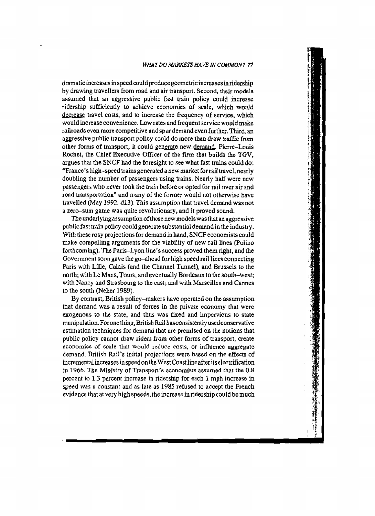**dramatic increases in speed could produce geumetric increases in ridership by drawing travellers from road and air transport. Second, their models assumed that an aggressive public fast train poiicy could increase ridership sufficiently to achieve economies of scale, which would deueasc travel costs, and to increase** the **frequency** of **service,** which would **increase convenience. Low rates and frequent service would make railroads cven more competitive and spur demand even further.** Third, **an aggressive public transport policy could do more than draw** *trdfYc* from other forms of transport, it could generate new demand. Pierre-Louis **Kochet, the Chief Executive Officer of thc firm that builds the TGV, argues** thar **the SNCF had** the foresight to **see what** fast **trains could do; "France's high-speed rrainsgenerated a** *new* **market for rail travel, nearly**  doubling **the number of passengers using trains. Nearly half were new passengers** who **never took** *the* train **before or opted for raiI** over **air and road transportation" and many of** the **former would not otherwise have travelled** (May **1992: d13). This assumption that travel demand was not**  a zero-sum game was quite revolutionary, and it proved sound.

**The underlyingassurnption ofthcsc new models was that an aggressive public fast train policy could generate substantial demand in the industry. With these rosy projections for demand in hand, SNCF economists could**  make compelling arguments for the viability of new rail lines (Polino **forthcoming). The Paris-Lyon line's success proved them right, and the Government soon gave the go-ahead for high speed rail lines connecting Paris with** Lille, **Calais (end the Channel Tunnel), and Brussels to** the north; with **Le** Mans, **Tours,** and **eventually** Bordeaux **to** the **south-west; with Nancy and Strasbourg to tbc east; and with Marseilles and Cannes to** the south **(Neher 1989).** 

**By contrast, British policy-makers have operated on the assumption that demand was a result of** forces in the *private* **economy** that **werc exogenous to the state, and thus was fixed and impervious to state manipulation. For** one thing, **British Rail hasconsistently usedconservative estimation techniques** for **demand** that **are premised on** the notions **that public** policy **cannot draw** riders **from other forms of transport, create economics of scale** that **would reduce costs, or influence aggregate demand.** British **Rail's** *initial* **projections were based on rhe effects of incrementalincreases in speedon the West** Coastline after **its** electrification **in 1966. The Ministry of Transport's economists assumed that the 0.8 percent to 1.3 percent increase in ridership for each 1 mph increase in speed was a** constant **and as Iate as 1985 refused to accept the French evidence that at very high speeds, the increase in ridership could be** much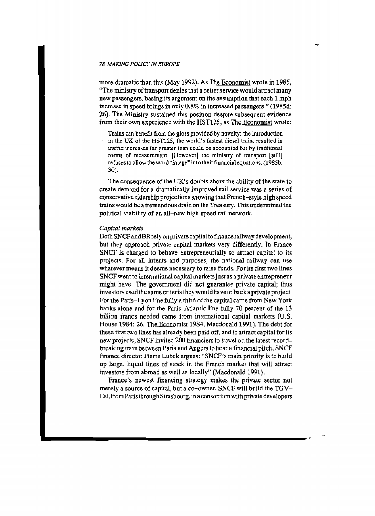more dramatic than this (May 1992). As The Economist wrote in 1985, **"The** ministry **of transport** denies **that a** better **service** would attract many **new** passengers, basing its argument on the assumption that each 1 mph **increase in** speed brings **in only** 0.8% in increased passengers." **(1985d:**  26). The Ministry sustained this position despite subsequent evidence from the interest in speed brings in only 0.8% in increased passengers." (1985d:<br>26). The Ministry sustained this position despite subsequent evidence<br>from their own experience with the HST125, as The Economist wrote:

**Trains** can benefit from the gloss provided by novelty: the introduction in the **UK** of the **HST125, the world's fastest diesel train,** resulted in traffic increases far greater than **could** be accounted for by traditional **forms of** measurement. **[However]** the ministry of transport [still] refuses to **aliow** the **word "image"** into their financial **equations. (1985b: 30).** 

The **consequence** of the UK's doubts about the ability of **the state** to create demand for a dramatically improved rail service **was** a series of conservative ridership projections showing that French-style high speed trains would be a tremendous drain on the Treasury. **This** undermined the political viability of an all-new high speed rail network.

#### *Capital markets*

Both **SNCF** and **BRrely on** privatecapital to finance railway development, but they approach private capital markets **very** differently. In France SNCF is charged to behave entrepreneurially to attract capital to its **projects. For** all intents and purposes, the national railway can use whatever **means** it deems necessary to raise **funds.** For its first two lines **SNCFwent** to international capital markets just as a private entrepreneur might have. The government did not guarantee private capital; thus investors used the **same** criteria they **would** have to back a private project. For the Paris-Lyon **Line** fully a third of the capital came from New York **banks** alone and for the Paris-Atlantic line fully 70 percent of the **13**  billion francs needed came from international capital markets **(U.S. House** 1984: 26, The Economist 1984, Macdonald 1991). The debt for these first two lines has **already been paid** off, and to attract capital for its **new** projects, **SNCF** invited 200 financiers to travel **on** the latest recordbreaking **train** between Paris and Angers to hear **a** financial pitch. SNCF finance director Pierre **Lubek** argues: **"SNCF's** main priority is to build up large, liquid lines of stock in the French market that will attract investors from abroad as well as locally" (Macdonald 1991).

France's **newest** financing strategy makes the private sector not merely a source of capital, but a co-owner. **SNCF** will build the TGV-Est, from Paris through Strasbourg, in a consortium with private developers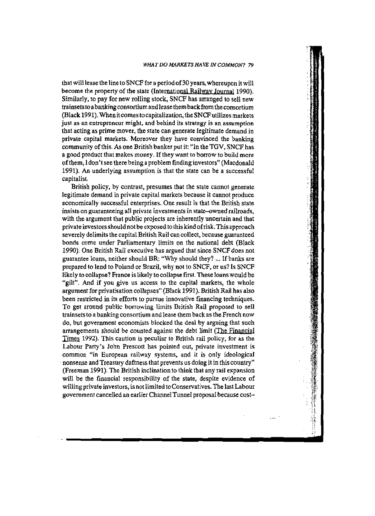that will lease the line to SNCF for a period of 30 years, whereupon it will become the property of the state (International Railway Journal 1990). Similarly, to pay for **new** rolling **stock, SNCF has arranged to sell new**  *trainsets* **toabankingconsoflium andlease them backfrom** theconsortium (Black 1991). Whenit comes to capitalization, **the** SNCFutilizes markets just as an entrepreneur might, and behind its strategy is an assumption that acting as prime **mover,** the state can generate **Iegitimate demand in private capital markets. Moreover they have convinced** the **banking community** of this. **As** one **British** banker put it: "In the **TGV, SNCF has a good product that makes money.** If **they want** to **borrow** to build **more**  of them, **Idon't** see there being a problem finding investors" **(Macdonald**  1991). **An underIying assumption is that** the **state** can be a successful capitalist,

British policy, by contrast, presumes that the state cannot generate legitimate demand in private capital markets because it cannot produce economically successful enterprises. **One** result is that the British state insists on guaranteeing all private **investments** in state-owned railroads, with the argument that **public** projects are inherently uncertain and **that**  private **investors shwldnot** be **exposed** to this kind of **risk. This approach severely** delimits the capital British Rail **can** collect, because guaranteed **bonds** crime under Parliamentary limits on the national **debt (Black 1990). One** British Rail **executive has argued** *that* **since SNCF** does not guarantee loans, neither should **BR: "Why should they?** .,. If **banks** are prepared to lend to Poland or Brazil, **why** not to **SNCF,** or us? Is SNCF **likcly to collapse? France is likely to collapse first. These** loans **would** be "gilt". And if you give us access to the capital markets, the whole argument **for privatisatian collapses"** (Black **1991). British Rail has also**  been restricted in its efforts to pursue innovative **financing** techniques. To **get** around public borrowing limits British Rail proposed to **sell trainsets to a banking** consortium and lease them **back** as the French **now**  do, but government economists blocked the deal **by** arguing that such arrangements should **be counted againsl the debt limit (The Financial**  *3-* **1992). This caution is peculiar** to **British rail policy, for** as the Labour Party's John **Prescott** has **pointed** out, **private** investment **is**  common **"in European** railway **systems, and it is** only **ideoIogica1**  nonsense and Treasury daftness that prevents us doing **it in** this country" **(Freeman** 1991). The British inclination to **think** that **any** rail expansion **will** be the financial responsibility of the state, despite evidence of wilIing private investors, is not **limited** to Conservatives. The last Labour **government** cancelled an **earlier** ChanneI Tunnel **proposal because cost-** 

د ايد.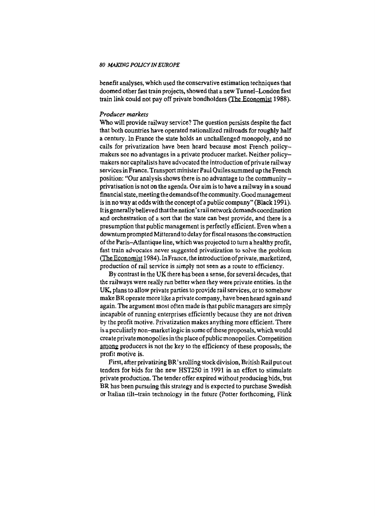benefit analyses, which used the conservative estimation techniques **that**  doomed **other fast train** projects, **showed that** a **new Tunnel-London fast train link could** not **pay off** private **bondholders (The Economig 1988).** 

## Producer markers

Who will provide railway service? The question persists despite the fact that both countries have operated **nationalized railroads for roughly half**  a century. In France the state **holds** an unchallenged **monopoly,** and no calls for privatization have **been** heard because most French policymakers see no advantages in a private producer market. Neither policymakers nor capitalists have **advocated** the introduction of priva **te railway services in France.** Transport minister Paul Quiles **summed** up t **he French position:** "Our **analysis shows** there is no advantage to the community privatisation is not on **the agenda. Our** aim is to **have** a railway **in** a **sound**  financial state, meeting the demands of the community. Good management **is** in no **way** at odds with the **concept of a public** company" (Black **1991),**  It is generally believed that the nation's rail network demands **coordination**  and orchestration **of** a **sort** that the state can best provide, **and** there is a presumption that public management is perfectly **efficient.** Even when **a downturn prompted Mit terand** to delay for fiscal reasons **the** construction of the Paris-Atlantique line, which was **projected** to turn a healthy profit, fast train **advocates** never suggested privatization to solve the problem **(The** Economist 1984). InFrance, the introduction of private, marketized, production of rail service is simply not seen as **a route to efficiency.** 

**By contrast in the UK there hasbeen** a sense, for several decades, that the **railways** were **really run** better when they **were** private entities. In the **UK,** plans to allow private parties to **provide** rail services, **or** to somehow make BR operate more **like** a **private company, have been heard again and again. The argument most** often made is that public managers are simply incapable of running enterprises efficiently because they are not driven by the profit motive. Privatization **makes** anything more efficient. There is a peculiarly **non-market** logic **in some** of these proposals, which would create private monopolies in the **place** of public monopolies. Competition **amone** producers is not the key to the efficiency of **these proposals; the profit** motive **is.** 

**First,** after **privatizing BR's** rolling **stock division, British Rail put out tenders** for bids for the **new HST250** in **1991 in** an **effort to stimulate private production. The tender offer expired** without **producing bids, but BR has** been pursuing this strategy and is **expected** to **purchase Swedish or Italian** tilt-train technology in the future (Potter forthcoming, **Flink**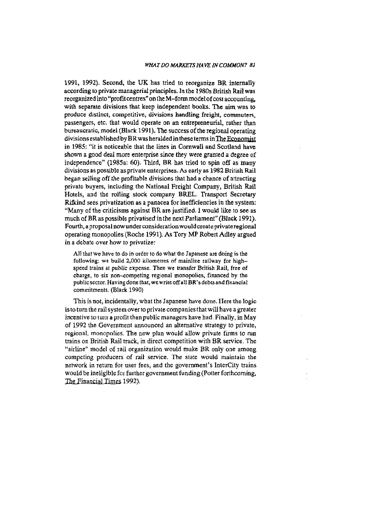**1991, 1992). Second, the UK has tried to reorganize BR internally according to private managerial principles. In the 1980s British** *Rail* **was**   $r$ eorganized into "profit centres" on the M-form model of cost accounting, **with separate divisions that keep independent books. The aim was to produce** *distinct,* **competitive, divisions handling freight. commuters, passengers, etc. that would operate on an entrepreneurial, rather** than **bureaucratic, model (Black 199 1). The success of the regional operating**  divisions established by BR was heralded in these terms in The Economist **in 1985: "it is noticeable that the lines in Cornwall and Scotland have**  shown **a good deal** more enterprise **since they were granted a** *degree* **of**  independence" **(1985a: 60).** Third, **BR has tried to spin off as many divisions as possible as private enterprises.** *As* **early as 1982 British Rail began selling off** *the* **profitable divisions** that **had a chance of attracting privatc buyers, including the National Freight Company,** British **Rail Hotels, and** the **rolling stock company BREL. Transport Secretary Rifkind** sees **privatization as a panacea for inefficiencies in the system: "Many of the criticisms against BR are justified. 1 would like to see as much** of **BR as possible privatised** in **the next Parliament"** *(Black* 1991). Fourth, a proposal now under consideration would create private regional **operating monopolies** (Roche **1991). As Tory MP Robert Adley argued in a debate over** *how* to *privatize:* 

All **that we have to do in order** to **do what** the **Japanese are doing is** the **following: we build 2,000 kilometres of mainline railway for highspeed trains a1 public expense. Then we transfer British Rail, free of charge, to six non-competing regional monopolies, financed by the publicsector.Havingdone that, wewrireoffall BR'sdcbtsand financial**  commitments. **(Black 1990)** 

**This is not, incidentally, what the Japanese have** done. **ITere the logic isto turn the rail system over to private companies that** wiII **have a greater incenrive** lo turn **a** profit than **pubIic managers have had. Finally, in May of 1992 the Government announced an alternative strategy to private, regionaI, monopoIies.** The new **plan would allow private firms** to **mn**  trains **on British Rail track, in direct competition with BR service. The "airline" model of rail organization would make BR only one among competing producers** of **rail** *service.* **The stare would maintain the**  nttwork **in** return **for user fees, and the government's Intercity trains would be ineligible for further government funding (Potter forthcoming, The Financial Times 1992).**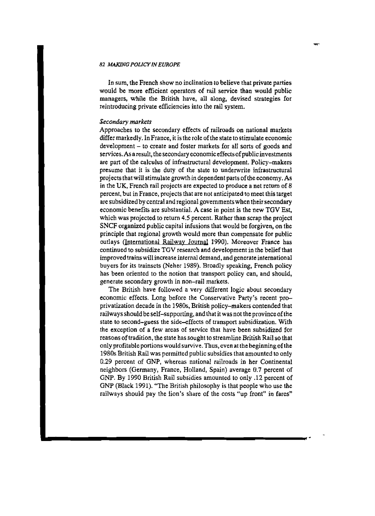**In** sum, **the** French **show** no inclination to **believe that private parties would be more efficient operators of rail service than would public managers, while the British have, all along, devised strategies for reintroducing private efficiencies into the rail system.** 

#### *Secondary markets*

**Approaches to the secondary effects of railroads on national markets differ markedly. In France, it is the** role **of the state to stimulate economic development** - **to create and foster markets for** all **sorts** of **goods** and **services. As a result, the secondary** economic **effects** of public **investments are part of the calculus of infrastructural development. Policy-makers presume that it is the duty of the slate to underwrite infrastructural projects that will stimulate** growth **in dependent** parts **of the economy. As in the UK, French rail projects are expected to produce a net return of** 8 **percent, but in France, projects that** are **not anticipated** to **meet this target are subsidized by central and regional governments when their secondary economic benefits are substantial. A case in point is the new TGV Est, which was projected to return 4.5 percent. Rather than scrap the project SNCF organized** public capital **infusions that would** be **forgiven, on** the **principle that regional growth would more than compensate for public outlays (International Railwav Journd 1990). Moreover France has continued** to **subsidize TGV research and development in** *the* **belief that improved trains will increase internal demand, and generate international buyers for its trainsets (Neher 1989). Broadly speaking, French policy has been oriented to the notion that transport policy can, and should, generate secondary growth in non-rail markets.** 

The British **have followed a very different logic about secondary**  economic effects. Long before the Conservative Party's recent pro**privatization decade in the 1980s, British policy-makers contended that railways should be self-supporting, and that it was not the province of the state to second-guess the side-effects of transport subsidization. With the exception of a few areas** of service that **have** been **subsidized for reasons of tradition, the state** has **sought to** streamline **British Rail so that only profitable portions would survive.** Thus, **even at the beginning of the 1980s British Rail was permitted public subsidies that amounted** to only 0.29 percent of **GNP, whereas** national railroads in her **Continental**  neighbors **(Germany, France, Holland, Spain) average 0.7 percent of GNP. By 1990 British Rail subsidies amounted to** only -12 **percent of**  *GNP* **(Black 1991). "The British philosophy is that people who** use **the railways should pay** the lion's share of the costs "up **front" in fares"**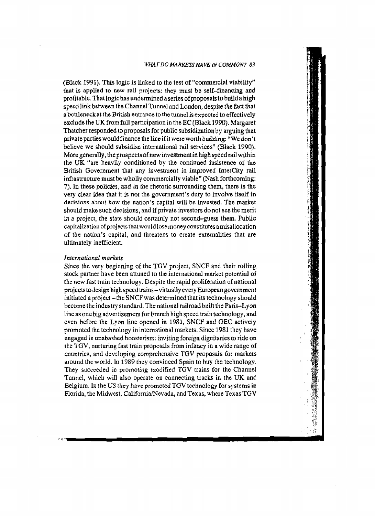**(Black 1991). This logic is linked to the test of "commercial viability" that is applied to new rail prnjects: they must be self-financing and profitabIe. That logic has undermined a series** of **proposals to build a high speed link between the Channel Tunnel and London, despite the** *fact that*  **a bottleneckat theBritish entrance to the tunnelis expected to effectively exclude the UK from full participation in** the **EC (Black 1990). Margaret Thatcher responded to proposals for public subsidization by arguing that private parties would finance the line if** it *were* **worth building: "We don't believe we should** subsidise **international rail services" (Black** 1990). More generally, theptospectsof **new investment** in **high speed rail** within **the UK** "are **heavily conditioned by the continued insistence of the British Government that any investment in improved Intercity rail infrastructure must be** wholly **commercially viable"** (Nash **forthcoming: 7). In** these **policies, and in** the rhetoric **surrounding them, there is the very** clear **idea that it is not the government's duty to involve itself in decisions** *about* **how the nation's capita1 wiII** be **invested. The market should make such decisions, and if private investors do not see the merit in a project, the state should** certainly **not second-guess them. Public capitalization of projects** that **would lose money canstitutes amisallocation of the nation's capital,** and **threatens to** create **externalities** that **axe ultimately inefficient.** 

#### *Internation~l markets*

**Since** the **very beginning of the TGV project, SNCF and their rolling stock** partner **have** been **attuned to** the **international markct potantial of**  the **new fast t~ain technology. Despite the rapid proliferation of national projects to design high speed** trains-virtually eyery **European** *government*  initiated **a** project - **the SNCF was** delermined that its **technology should**  become the industry standard. The national railroad built the Paris-Lyon line **as** onebig **advertisement for** French **high speed** train **technology, and even** before the **Lyon** line opened **in** 1981, **SNCF and** *GEC* **actively**  promoted the **technology in international markets. Since 1981 they have engaged in unabashed** hnosterism: *inviting* foreign **dignitaries to** ride **on**  the TGV, **nurturing fast train proposals from infancy in a wide** range **of**  countries, **and** devclopjng comprehensive **TGV proposals for markets**  around **the** world. **In 1989 they convinced Spain to buy** the technology, They **succeeded in** *promoting* **modified TGV trains for the Channel Tunnel, which will also operate on connecting tracks in the** UK and **Belgium. In** the **US** *they* **have promoted TGV technology for systems in Florida, the Midwest, CaliforniaNevada, and** Texas, **where Texas** TGV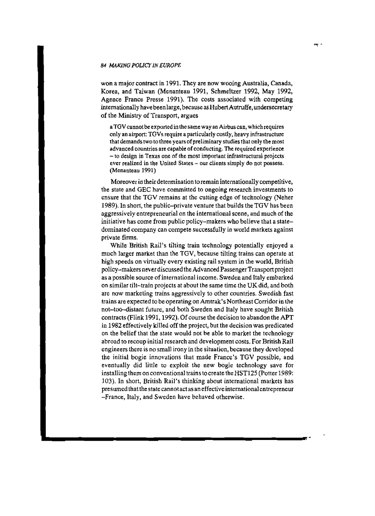**won** a major **contract in 1991.** They are now wooing Australia, **Canada,**  Korea, **and Taiwan (Menanteau 1991, Schmeltzer 1992, May 1992, Agence France** Presse 1991). The costs associated with competing internationally **have** been large, because as Hubert **Autruffe,** undersecretary of the **Ministry of** Transport, **argues** 

**a TGV cannot be exponed** in **the same way an** Airbus can, which **requires only an airport: TGVs require a particularly costly, heavy infrastructure**  that **demands two to three years of preliminary studies that only the most advanced countries are capable of conducting. The** required experience **-to** design in **Texas** one of **the** most important **infrastructural** projects **ever realized in the United States** - **our clients simply do** not **possess. (Menanteau 1991)** 

Moreover in their determination toremain internationally competitive, the state and **GEC** have committed to **ongoing** research investments to ensure that the TGV remains at the cutting edge of technology (Neher **f** 989). In short, the public-private venture that builds the **TGV** has been aggressively entrepreneurial on the international scene, and much of the initiative has come **from public policy-makers who** believe that a **state**dominated company can compete successfully in world markets against **private firms.** 

**While British** Rail's tilting train technology potentially enjoyed a **much** larger market than the TGV, because tilting trains can operate at high speeds on virtually every existing rail system in the world, British policy-makers never **discussed** the **Advanced Passenger** Transport project as a possible source of international income. Sweden and Italy embarked on similar **tilt-train projects at** about the **same** time the **UKdid, and** both are **now** marketing trains aggressively io other countries. Swedish **fast trains are expected** to be operating **on Amtrak's** Northeast Corridor in **the**  not-too-distant future, and both Sweden and Italy have sought British contracts (Flink 1991,1992). Of course the decision to abandon **the** APT in 1982 effectively killed off the project, but the decision **was** predicated on the belief that the state would not **be able to market** the technology **abroad** to recoup initial research and development **costs.** For British Rail engineers there is no small **irony** in the **situation, because they developed the** initial bogie innovations that made France's TGV possible, and eventually did little to exploit the **new** bogie technology save for installing thcrn on conventional trains to create the **HST125** (Potter 1989: 103). In short, British Rail's thinking about international markets has presumed that the state cannot act as aneffective international entrepreneur -France, Italy, and Sweden have behaved **otherwise.**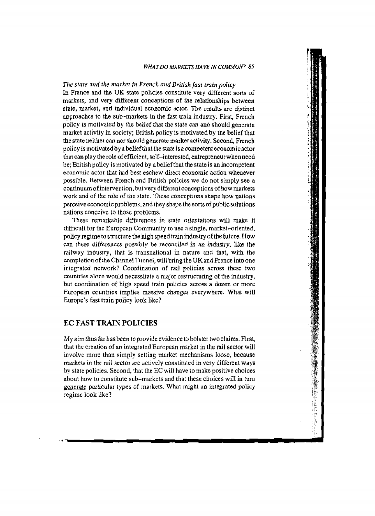#### *The* **state** *and the market* **in** *French and Britfsl~* **fast** *trainpolig*

**h** France **and the UK state policizs** constitute very different sorts of **markets, and very different conceptions of** *the* relationships between state, market, and individual economic **actor. The results arc distinct**  approaches to the sub-markets in the fast train industry. First, French policy is **motivated by** *1kc bclief* **that thc state can and** should gcnerale market activity in society; British policy **is** motivated by **the** belief that **the state** 11eiiher **can** nor **should generate market activity. Second, French**  policy is **motivated by** a belief that the **state is** *acornpeten!* economicactor that **can play** the role **of** efficient, **self-interested,** entrepreneurwhenneed **be;** British policy is motivated by abelief that the **state is an** incompetent economic **actor** that had **best eschew** *direct economic* **action whenever possible. Between** French and British policies we do not simply see a continuum of intervention, but **very** different conceptions of how **markets work** and of **the role of** the **state. These conceptions shape how** nalions perceiveeconomic problems. and they **shape** the **sorts** of public solutions nations conceive to those **problems.** 

*These* **remarkable** differences in *state orientations* **will make** if difficult for the European Community to use a single, market-oriented, **policy** regime to structure **the** high **speed** train industq of **the** future. **How**  can these differences possibly be reconciled in an industry, like the **railway** indusrry, that **is transnational** in nature and that, **with the**  completion of the Channel Tunnel, will bring the UK and France into one integrated **nerwork? Coordination of** *rail* policies across **these** two countries alone would necessitate a major restructuring of the industry, but coordination of high speed **train** policies across **a** dozen or **more European** countries implies **massive** *changes* **everywhere. What will Europe's fast train policy look like?** 

## **EC FAST TR4IN POLICIES**

My *aim* **thus** *far has* **been** to provide evidence to bolster **two** clajms. First, that thc creation of **an** integrated Ellropean market in the rail sector will involve more than simply setting **market** mechanisms **loose, because**  *markets* **in** *the* **rail** *sector* are **actively constituted** in **very** different **ways**  by state policies. Second, that the EC will have to **make** positive choices about how to constitute **sub-markets** and that these choices **will in turn**  gem particular *types* of **markets.** What might an **integrated** policy regime look like?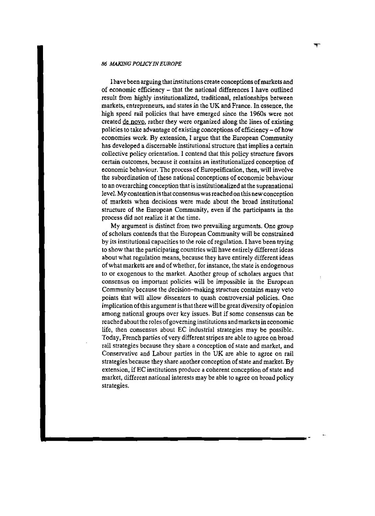I have been arguing that institutions create conceptions of markets and **of economic** efficiency - **that** the **national** differences I have outlined result **from** highly institutionalized, traditional, relationships between **markets,** entrepreneurs, and states in the UK and France. In essence, the **high** speed **rail** policies **that have emerged** since the 1960s were not created **de** now, rather they were organized along the lines of existing **policies** to take **advantage of** existing **conceptions of** efficiency -of how economies **work.** By **extension, I argue that** the European Community has developed a **discemable institutional** structure **that implies** a certain collective policy orientation. I contend that this policy **structure favors certain** outcomes, because it contains **an** institutionalized conception of economic behaviour. The process of Europeification, then, will involve the subordination of these **national** conceptions of economic behaviour to an overarching conception **that** is institutionalized at the supranational level. My contention is that consensus **was** reached on this **new conception of** markets **when** decisions were made about **the broad institutional structure** of **the** European Community, even if the participants in the **process did** not **realize** it at the time.

My argument is distinct **from two** prevailing **arguments.** One group of scholars contends that the European Community **wiil** be constrained by its institutional capacities to the role of regulation. I have been trying to show that the participating countries will have entirely different ideas about what regulation **means,** because they **have** entirely different **ideas**  of what markets are and of **whether, for** instance, **the** state is endogenous to or exogenous to the market. Another group of scholars argues that **consensus on** important policies will be impossible in the European Community because the **decision-making** structure **contains many** veto points that will allow dissenters to quash controversial policies. One **implication of this** argument is that there will be great diversity of opinion **among** national **groups** over key issues. But if **some** consensus can be reached about the roles **of** governing institutions andmarkets in economic life, then consensus about EC industrial **strategies may be possible.**  Today, French parties of **very** differcnt stripes are able to agree on broad rail strategies because they share a conception of **state and** market, **and Conservative** and Labour parties in the **UK** are able to agree on rail strategies because they share another **conception** of state **and** market. By **extension,** if EC institutions produce a coherent conception of state **and market, different national** interests **may** be able to agree on broad policy strategies.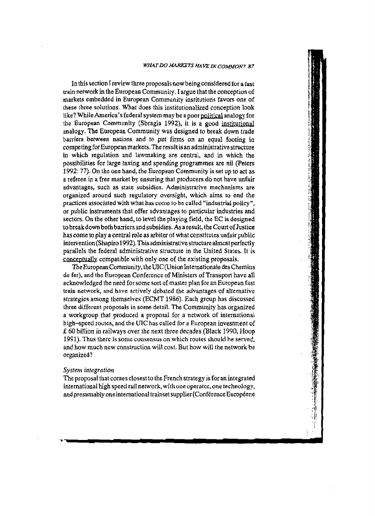**In this section** I **review three proposals now** being **considered for a fast train network** in the **European Community,** I **argue that the conception of markets embedded in European Community institutions favors one of these three** *solutions. What* **does** *this* **institutionalized** conception **look**  like? While America's federal system may be a poor political analogy for the European Community (Sbragia 1992), it is a good institutional **analogy. The European** Community **was designed to break down trade barriers** *between nations* **and to** *put* firms **on an equal** footing in competing for **European markets.Theresult isanadministrative** structure **in which regulation and lawmaking are central, and** in which **the possibilities for Iarge taxing and spending programmes are** nil **(Peters 1992: 77). On** *the one* **hand, the European Community is set up to act as**  a **referee** in a free market **by ensuring that p~oducers do not have unfair advantages, such as state subsidies. Administrative mechanisms** are **organized** around **such regulatory oversight, which aims to end** the **practices associated with whar has** come **to bc called "industrial policy** ", **or public instruments that offer advantages to particular industries and sectors. On the other hand,** to **level the playing field, the EC is designed**  to **breakdown both barriers and subsidies. As a result, the** Court **ofjustice has came** to **play a** central *role* **as arbiter of** what **~onsrjtutes unfair** public intervention **(Shapiro** 1992). **Thisadministrative** structure **almast perfectly**  parallels **the federal** administrative **structure in the** United **States. It is conceptually** compatible with only one of the existing proposals.

**TheEuropean Community,** the UIC(Unim **Internationale deschemins de fer), and** the **European** Conference **of Ministers of Transport have all acknowledged** the need for some **sort of master plan for an European fast train network,** and **have activeIy debated the advantages of alternative strategies among themselves** (ECMT **1986).** Each **group has discussed three different proposals in some** detail. **The** Community **has organized a workgroup** that **produced a proposal** for **a network** of **international high-speed routes, and the U1C has caIIed** for a **European investment** of **f** *60* billion in **railways over** *the* **next** rhree **decades (Black** 1990, Hoop **1991).** Thus there **is some consensus on** which routes **should** be **served, and** how much **new** construction **will** cost. But **how will the network be organized'!** 

#### **System integration**

**The proposal that comes closest to the French strategy is for an integrated**  international high **speed rail** network, **with unc** operator, **one** *technology,*  and presumably one international trainset supplier (Conférence Européene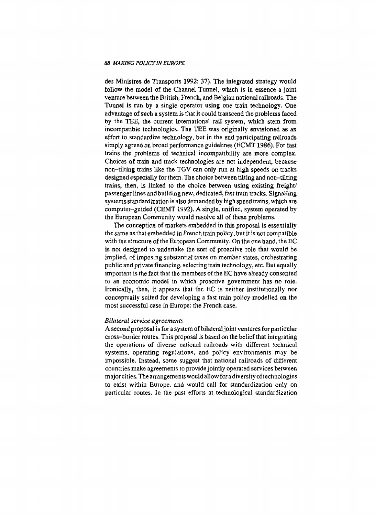**des Ministres de Transports** 1992: 37). The integrated strategy **would**  follow the **model** of the Channel Tunnel, which is in essence a joint venture between the British, French, and Belgian national railroads. The Tunnel **is run by a** single operator using one train technology. **One advantage** of such a system is that it could transcend **the** problems faced by the TEE, the current international **raiI** system, which stem from incompatible technologies. The **TEE was** originally envisioned as **an**  effort to standardize technology. but in the end participating railroads simply agreed on broad **performance guidelines (ECMT 1986). For** fast trains the problems of technical incompatibility are more **complex. Choices of train** and track technologies are not independent, because non-tilting trains like the **TGV** can only **run** at high speeds on tracks designed especially for them. The choice between tilting **and** non-tilting trains, then, is linked to the choice between using existing freight/ passenger lines and building new, dedicated, fast train tracks. Signalling systems standardization is also demanded by high speed trains, which are computer-guided (CEMT 2992). A single, unified, system operated by the European Community **would** resolve all of these problems.

The conception of markets embedded in this proposal is essentially **the** same as that embedded in French train policy, but it is not compatible with the structure of the European Community. On the one **hand,** the EC is **no;** designed to undertake the sort of proactive role that would be implied, **of** imposing substantial taxes on member states, orchestrating public and private financing, selecting train technology, etc. But equally important is the fact that the members of the EC have already consented to **an** economic model **in** which **proactive** government has no role. Ironically, then, it appears that the EC is neither institutionally nor conceptually suited for developing a fast train **policy** modelled on the most **successful case in** Europe; **the** French **case.** 

#### *Bilateral service agreemenrs*

**A second proposal is for a** system **of** bilateral joint ventures for particular cross-border routes. This proposal is based on the **beIief** that integrating the **operations** of **diverse** national railroads with different technical systems, operating regulations, and policy environments **may** be impossible. Instead, some suggest that national railroads of different countries make agreements to provide jointly operated services between major cities. The arrangements would allow for a diversity of technologies to exist within Europe, and would call for standardization only on particular routes. In the past efforts at technological standardization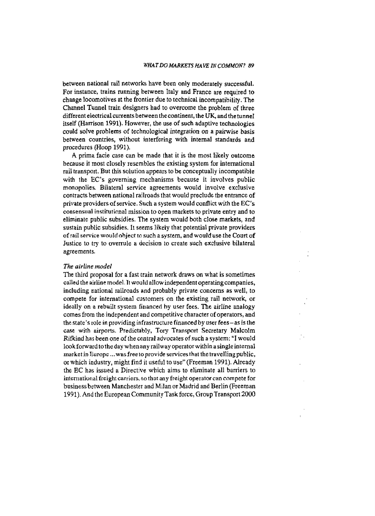**between national rail networks have been only moderately successful. For instance, trains running between Italy and** France **are required to change locomotives at the frontier due to technical incompatibility. The Channel Tunnel** train **designers had** to **overcome the problem of three different electrical currents beween the continent, the UK, and the** tunneI **itself (Harrison 1991). However,** the **use of such adaptive technologies could solve problems** of technological **integration on a painvise basis between countries, without interfering with internal standards and**  *procedures (hop* **1991).** 

**A prima facie case can be** made **that it is the most likely outcome because it most closely resembles the existing system for international rail transport. But this solution appears to be conceptually incompatible with the EC's governing mechanisms because it involves public monopolies.** Bilateral **service agreements would involve exclusive contracts between national railroads that** would **preclude the entrance of private providers of service. Such a system would** conflict **with the EC's consensual institutinnal** mission **to open markets to private entry and to eliminate pubIic subsidies. The system would both close markets, and sustain** public **subsidies.** It **seems likeiy that potential private providers of rail service would object to such a system,** *and would* **use** *the* **Court of Justice to** try **to overrule a** decision **to create such exclusive bilateral**  *agreements.* 

#### *The* **airline model**

**The third proposal for a fast train network draws on what is sometimes called the airline model. Tt would allow independent operatingcompanies, including national railroads and probably private concerns as well, to compete for international** customers **on the existing rail network, or ideally on n rebuilt system financed by user fees. The airline** analogy **comes from the independent and competitive character of operators, and**  the **state's role in providing infrastructure financed by user** *fees-as* **is the case with airports. Predictably, Tory Transport Secretary Malcolm Rifkind has been** one **of** the *central* **advocates** of **such** a **system; "I would look forward tothe day whenany railway operator within a single** internal **market jn Europc** ... **was free to provide services that** the travelling **public,**  or which **industry, might find it useful to use"(Freeman 1991). Already the EC has issued** a **Directive which aims to eliminate all barriers to**  inter~iatiorial **freight carriers,** *so* **that any freight operator can** c.ompete **for business between Manchester** and Milan **or** Madrid and **Berlin (Freeman 199** 1). **And the European Community Task force, Group Transport 2000**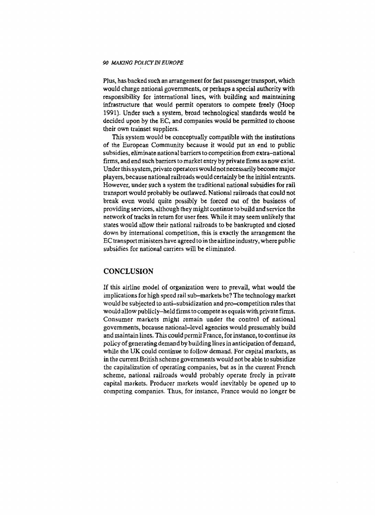Plus, **has** backed such an arrangement for fast passenger transport, which would charge national governments, or perhaps a special authority with responsibility for international lines, with building and maintaining infrastructure that **wouId** permit operators **to compete freely (Hoop**  1991). Under such a **system,** broad technological standards **would he**  decided upon by the EC, and companies would **be** permitted to choose their own trainset suppliers.

**This** system would be conceptually compatible with the institutions of the European Community because it would put an end to public subsidies, eliminate national barriers to competition from extra-national firms, **and** end such barriers to market entry by private **firms** as **now exist.**  Under this system, private operators wouldnot necessarily **become** major **players, because** national **railroads** would certainly **be** the **initial** entrants. However, under **such** a system the traditional national subsidies for rail transport would probably be outlawed. National railroads that **could** not break even would quite possibly be forced **out of** the **business** of providing services, although they might cuntinue to build and service the network of tracks **in** return for user fees. While it may **seem** unlikely that stales would allow their national railroads to be **bankrupted and** dosed **down** by international competition, this is **exactly** the arrangement the EC transport ministers have agreed to **in** the airline industry, where public subsidies for national carriers will be eliminated.

# **CONCLUSION**

**If this** airline **model** of organization **were** to prevail, what would the implications for high speed rail sub-markets be? The technology market would be subjected to anti-subsidization and pro-competition rules that would **allow** publicly-held firms to compete as **equals with** private firms. Consumer markets might remain under the control of national governments, because national-level agencies would presumably **build**  and maintain lines. This could permit France, for instance, to continue its policy of generating demand by building lines in anticipation of demand, while the UK could continue to follow demand. For capital markets, as in the current British scheme governments would not **be able** to subsidize the capitalization **of** operating companies, but as in the current French scheme, national **railroads would** probably operate freely in private capital markets. Producer markets would inevitably be opened up to competing companies. Thus, for instance, France **would** no longer be